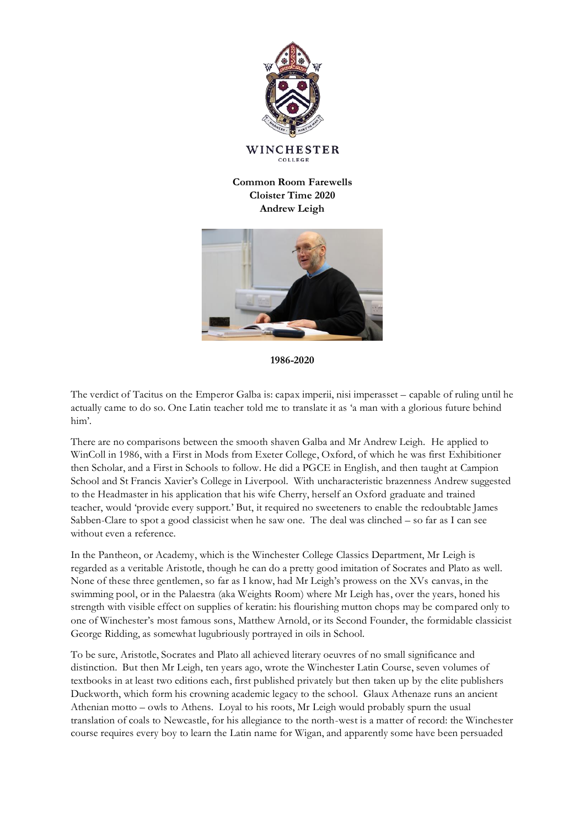

## **Common Room Farewells Cloister Time 2020 Andrew Leigh**



**1986-2020**

The verdict of Tacitus on the Emperor Galba is: capax imperii, nisi imperasset – capable of ruling until he actually came to do so. One Latin teacher told me to translate it as 'a man with a glorious future behind him'.

There are no comparisons between the smooth shaven Galba and Mr Andrew Leigh. He applied to WinColl in 1986, with a First in Mods from Exeter College, Oxford, of which he was first Exhibitioner then Scholar, and a First in Schools to follow. He did a PGCE in English, and then taught at Campion School and St Francis Xavier's College in Liverpool. With uncharacteristic brazenness Andrew suggested to the Headmaster in his application that his wife Cherry, herself an Oxford graduate and trained teacher, would 'provide every support.' But, it required no sweeteners to enable the redoubtable James Sabben-Clare to spot a good classicist when he saw one. The deal was clinched – so far as I can see without even a reference.

In the Pantheon, or Academy, which is the Winchester College Classics Department, Mr Leigh is regarded as a veritable Aristotle, though he can do a pretty good imitation of Socrates and Plato as well. None of these three gentlemen, so far as I know, had Mr Leigh's prowess on the XVs canvas, in the swimming pool, or in the Palaestra (aka Weights Room) where Mr Leigh has, over the years, honed his strength with visible effect on supplies of keratin: his flourishing mutton chops may be compared only to one of Winchester's most famous sons, Matthew Arnold, or its Second Founder, the formidable classicist George Ridding, as somewhat lugubriously portrayed in oils in School.

To be sure, Aristotle, Socrates and Plato all achieved literary oeuvres of no small significance and distinction. But then Mr Leigh, ten years ago, wrote the Winchester Latin Course, seven volumes of textbooks in at least two editions each, first published privately but then taken up by the elite publishers Duckworth, which form his crowning academic legacy to the school. Glaux Athenaze runs an ancient Athenian motto – owls to Athens. Loyal to his roots, Mr Leigh would probably spurn the usual translation of coals to Newcastle, for his allegiance to the north-west is a matter of record: the Winchester course requires every boy to learn the Latin name for Wigan, and apparently some have been persuaded